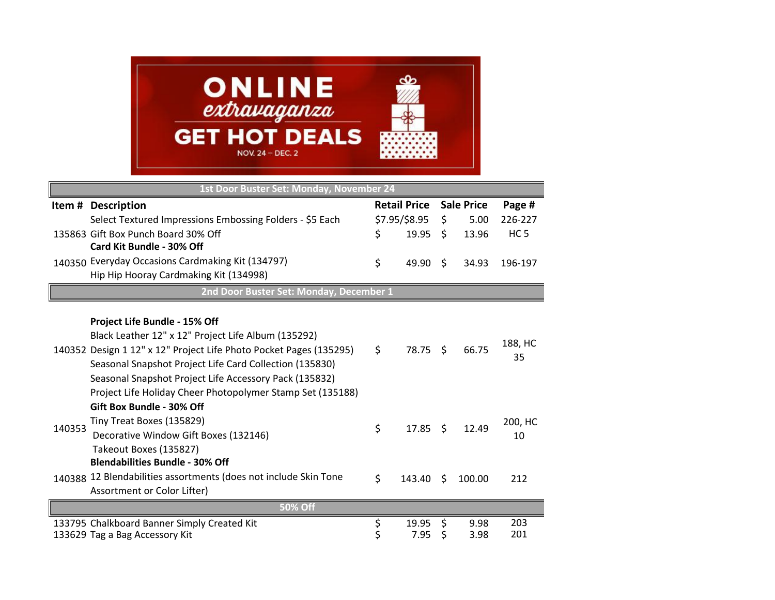

| 1st Door Buster Set: Monday, November 24 |                                                                    |               |                     |              |                   |                 |  |  |
|------------------------------------------|--------------------------------------------------------------------|---------------|---------------------|--------------|-------------------|-----------------|--|--|
|                                          | Item # Description                                                 |               | <b>Retail Price</b> |              | <b>Sale Price</b> | Page #          |  |  |
|                                          | Select Textured Impressions Embossing Folders - \$5 Each           | \$7.95/\$8.95 |                     | \$           | 5.00              | 226-227         |  |  |
|                                          | 135863 Gift Box Punch Board 30% Off                                | \$            | 19.95               | \$           | 13.96             | HC <sub>5</sub> |  |  |
|                                          | Card Kit Bundle - 30% Off                                          |               |                     |              |                   |                 |  |  |
|                                          | 140350 Everyday Occasions Cardmaking Kit (134797)                  | \$            | 49.90               | Ŝ.           | 34.93             | 196-197         |  |  |
|                                          | Hip Hip Hooray Cardmaking Kit (134998)                             |               |                     |              |                   |                 |  |  |
| 2nd Door Buster Set: Monday, December 1  |                                                                    |               |                     |              |                   |                 |  |  |
|                                          |                                                                    |               |                     |              |                   |                 |  |  |
|                                          | Project Life Bundle - 15% Off                                      |               |                     |              |                   |                 |  |  |
|                                          | Black Leather 12" x 12" Project Life Album (135292)                |               |                     |              |                   | 188, HC         |  |  |
|                                          | 140352 Design 1 12" x 12" Project Life Photo Pocket Pages (135295) | \$            | 78.75               | Ŝ.           | 66.75             | 35              |  |  |
|                                          | Seasonal Snapshot Project Life Card Collection (135830)            |               |                     |              |                   |                 |  |  |
|                                          | Seasonal Snapshot Project Life Accessory Pack (135832)             |               |                     |              |                   |                 |  |  |
|                                          | Project Life Holiday Cheer Photopolymer Stamp Set (135188)         |               |                     |              |                   |                 |  |  |
| 140353                                   | Gift Box Bundle - 30% Off                                          | \$            | 17.85               | $\mathsf{S}$ | 12.49             | 200, HC<br>10   |  |  |
|                                          | Tiny Treat Boxes (135829)                                          |               |                     |              |                   |                 |  |  |
|                                          | Decorative Window Gift Boxes (132146)                              |               |                     |              |                   |                 |  |  |
|                                          | Takeout Boxes (135827)                                             |               |                     |              |                   |                 |  |  |
|                                          | <b>Blendabilities Bundle - 30% Off</b>                             |               |                     |              |                   |                 |  |  |
|                                          | 140388 12 Blendabilities assortments (does not include Skin Tone   | \$            | 143.40              | \$           | 100.00            | 212             |  |  |
|                                          | Assortment or Color Lifter)                                        |               |                     |              |                   |                 |  |  |
| <b>50% Off</b>                           |                                                                    |               |                     |              |                   |                 |  |  |
|                                          | 133795 Chalkboard Banner Simply Created Kit                        | \$            | 19.95               | \$           | 9.98              | 203             |  |  |
|                                          | 133629 Tag a Bag Accessory Kit                                     | Ş             | 7.95                | Ş            | 3.98              | 201             |  |  |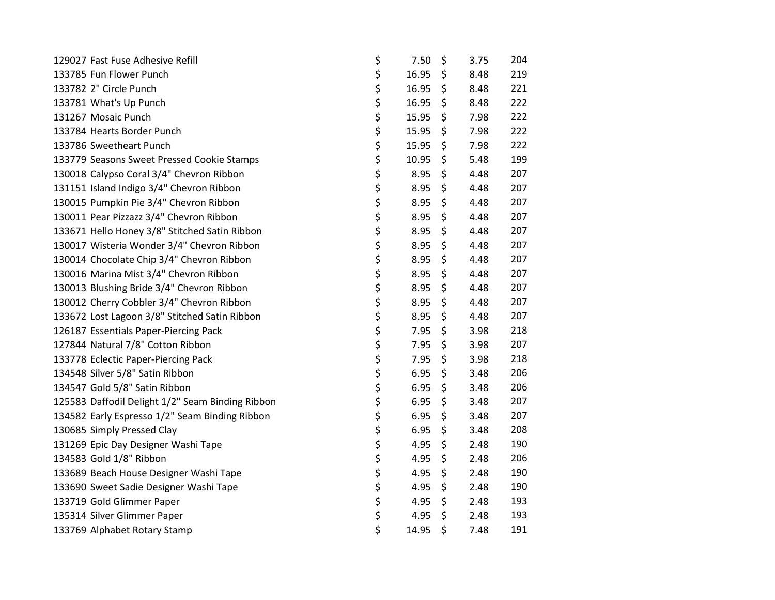| 129027 Fast Fuse Adhesive Refill                 | \$<br>7.50  | \$<br>3.75 | 204 |
|--------------------------------------------------|-------------|------------|-----|
| 133785 Fun Flower Punch                          | \$<br>16.95 | \$<br>8.48 | 219 |
| 133782 2" Circle Punch                           | \$<br>16.95 | \$<br>8.48 | 221 |
| 133781 What's Up Punch                           | \$<br>16.95 | \$<br>8.48 | 222 |
| 131267 Mosaic Punch                              | \$<br>15.95 | \$<br>7.98 | 222 |
| 133784 Hearts Border Punch                       | \$<br>15.95 | \$<br>7.98 | 222 |
| 133786 Sweetheart Punch                          | \$<br>15.95 | \$<br>7.98 | 222 |
| 133779 Seasons Sweet Pressed Cookie Stamps       | \$<br>10.95 | \$<br>5.48 | 199 |
| 130018 Calypso Coral 3/4" Chevron Ribbon         | \$<br>8.95  | \$<br>4.48 | 207 |
| 131151 Island Indigo 3/4" Chevron Ribbon         | \$<br>8.95  | \$<br>4.48 | 207 |
| 130015 Pumpkin Pie 3/4" Chevron Ribbon           | \$<br>8.95  | \$<br>4.48 | 207 |
| 130011 Pear Pizzazz 3/4" Chevron Ribbon          | \$<br>8.95  | \$<br>4.48 | 207 |
| 133671 Hello Honey 3/8" Stitched Satin Ribbon    | \$<br>8.95  | \$<br>4.48 | 207 |
| 130017 Wisteria Wonder 3/4" Chevron Ribbon       | \$<br>8.95  | \$<br>4.48 | 207 |
| 130014 Chocolate Chip 3/4" Chevron Ribbon        | \$<br>8.95  | \$<br>4.48 | 207 |
| 130016 Marina Mist 3/4" Chevron Ribbon           | \$<br>8.95  | \$<br>4.48 | 207 |
| 130013 Blushing Bride 3/4" Chevron Ribbon        | \$<br>8.95  | \$<br>4.48 | 207 |
| 130012 Cherry Cobbler 3/4" Chevron Ribbon        | \$<br>8.95  | \$<br>4.48 | 207 |
| 133672 Lost Lagoon 3/8" Stitched Satin Ribbon    | \$<br>8.95  | \$<br>4.48 | 207 |
| 126187 Essentials Paper-Piercing Pack            | \$<br>7.95  | \$<br>3.98 | 218 |
| 127844 Natural 7/8" Cotton Ribbon                | \$<br>7.95  | \$<br>3.98 | 207 |
| 133778 Eclectic Paper-Piercing Pack              | \$<br>7.95  | \$<br>3.98 | 218 |
| 134548 Silver 5/8" Satin Ribbon                  | \$<br>6.95  | \$<br>3.48 | 206 |
| 134547 Gold 5/8" Satin Ribbon                    | \$<br>6.95  | \$<br>3.48 | 206 |
| 125583 Daffodil Delight 1/2" Seam Binding Ribbon | \$<br>6.95  | \$<br>3.48 | 207 |
| 134582 Early Espresso 1/2" Seam Binding Ribbon   | \$<br>6.95  | \$<br>3.48 | 207 |
| 130685 Simply Pressed Clay                       | \$<br>6.95  | \$<br>3.48 | 208 |
| 131269 Epic Day Designer Washi Tape              | \$<br>4.95  | \$<br>2.48 | 190 |
| 134583 Gold 1/8" Ribbon                          | \$<br>4.95  | \$<br>2.48 | 206 |
| 133689 Beach House Designer Washi Tape           | \$<br>4.95  | \$<br>2.48 | 190 |
| 133690 Sweet Sadie Designer Washi Tape           | \$<br>4.95  | \$<br>2.48 | 190 |
| 133719 Gold Glimmer Paper                        | \$<br>4.95  | \$<br>2.48 | 193 |
| 135314 Silver Glimmer Paper                      | \$<br>4.95  | \$<br>2.48 | 193 |
| 133769 Alphabet Rotary Stamp                     | \$<br>14.95 | \$<br>7.48 | 191 |
|                                                  |             |            |     |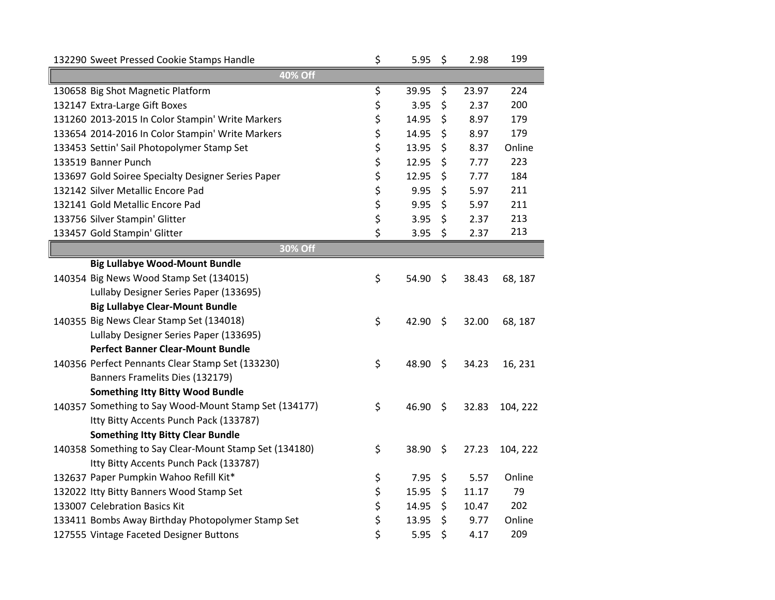| 132290 Sweet Pressed Cookie Stamps Handle              | \$ | 5.95  | \$      | 2.98  | 199      |  |  |  |
|--------------------------------------------------------|----|-------|---------|-------|----------|--|--|--|
| 40% Off                                                |    |       |         |       |          |  |  |  |
| 130658 Big Shot Magnetic Platform                      | \$ | 39.95 | \$      | 23.97 | 224      |  |  |  |
| 132147 Extra-Large Gift Boxes                          | \$ | 3.95  | \$      | 2.37  | 200      |  |  |  |
| 131260 2013-2015 In Color Stampin' Write Markers       | \$ | 14.95 | \$      | 8.97  | 179      |  |  |  |
| 133654 2014-2016 In Color Stampin' Write Markers       | \$ | 14.95 | \$      | 8.97  | 179      |  |  |  |
| 133453 Settin' Sail Photopolymer Stamp Set             | \$ | 13.95 | \$      | 8.37  | Online   |  |  |  |
| 133519 Banner Punch                                    | \$ | 12.95 | \$      | 7.77  | 223      |  |  |  |
| 133697 Gold Soiree Specialty Designer Series Paper     | \$ | 12.95 | \$      | 7.77  | 184      |  |  |  |
| 132142 Silver Metallic Encore Pad                      | \$ | 9.95  | \$      | 5.97  | 211      |  |  |  |
| 132141 Gold Metallic Encore Pad                        | \$ | 9.95  | \$      | 5.97  | 211      |  |  |  |
| 133756 Silver Stampin' Glitter                         | \$ | 3.95  | \$      | 2.37  | 213      |  |  |  |
| 133457 Gold Stampin' Glitter                           | \$ | 3.95  | \$      | 2.37  | 213      |  |  |  |
| 30% Off                                                |    |       |         |       |          |  |  |  |
| <b>Big Lullabye Wood-Mount Bundle</b>                  |    |       |         |       |          |  |  |  |
| 140354 Big News Wood Stamp Set (134015)                | \$ | 54.90 | \$      | 38.43 | 68, 187  |  |  |  |
| Lullaby Designer Series Paper (133695)                 |    |       |         |       |          |  |  |  |
| <b>Big Lullabye Clear-Mount Bundle</b>                 |    |       |         |       |          |  |  |  |
| 140355 Big News Clear Stamp Set (134018)               | \$ | 42.90 | $\zeta$ | 32.00 | 68, 187  |  |  |  |
| Lullaby Designer Series Paper (133695)                 |    |       |         |       |          |  |  |  |
| <b>Perfect Banner Clear-Mount Bundle</b>               |    |       |         |       |          |  |  |  |
| 140356 Perfect Pennants Clear Stamp Set (133230)       | \$ | 48.90 | \$      | 34.23 | 16, 231  |  |  |  |
| Banners Framelits Dies (132179)                        |    |       |         |       |          |  |  |  |
| <b>Something Itty Bitty Wood Bundle</b>                |    |       |         |       |          |  |  |  |
| 140357 Something to Say Wood-Mount Stamp Set (134177)  | \$ | 46.90 | \$      | 32.83 | 104, 222 |  |  |  |
| Itty Bitty Accents Punch Pack (133787)                 |    |       |         |       |          |  |  |  |
| <b>Something Itty Bitty Clear Bundle</b>               |    |       |         |       |          |  |  |  |
| 140358 Something to Say Clear-Mount Stamp Set (134180) | \$ | 38.90 | \$      | 27.23 | 104, 222 |  |  |  |
| Itty Bitty Accents Punch Pack (133787)                 |    |       |         |       |          |  |  |  |
| 132637 Paper Pumpkin Wahoo Refill Kit*                 | \$ | 7.95  | \$      | 5.57  | Online   |  |  |  |
| 132022 Itty Bitty Banners Wood Stamp Set               | \$ | 15.95 | \$      | 11.17 | 79       |  |  |  |
| 133007 Celebration Basics Kit                          | \$ | 14.95 | \$      | 10.47 | 202      |  |  |  |
| 133411 Bombs Away Birthday Photopolymer Stamp Set      | \$ | 13.95 | \$      | 9.77  | Online   |  |  |  |
| 127555 Vintage Faceted Designer Buttons                | \$ | 5.95  | \$      | 4.17  | 209      |  |  |  |